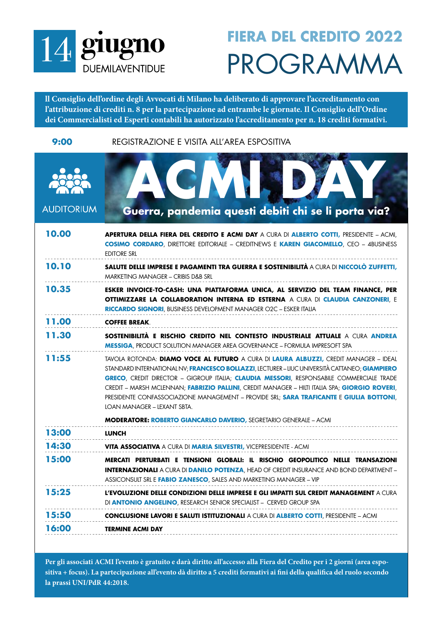

## PROGRAMMA **FIERA DEL CREDITO 2022**

**ll Consiglio dell'ordine degli Avvocati di Milano ha deliberato di approvare l'accreditamento con l'attribuzione di crediti n. 8 per la partecipazione ad entrambe le giornate. Il Consiglio dell'Ordine dei Commercialisti ed Esperti contabili ha autorizzato l'accreditamento per n. 18 crediti formativi.** 

**9:00** REGISTRAZIONE E VISITA ALL'AREA ESPOSITIVA

| <b>AUDITORIUM</b> | Guerra, pandemia questi debiti chi se li porta via?                                                                                                                                                                                                                                                                                                                                                                                                                                                          |
|-------------------|--------------------------------------------------------------------------------------------------------------------------------------------------------------------------------------------------------------------------------------------------------------------------------------------------------------------------------------------------------------------------------------------------------------------------------------------------------------------------------------------------------------|
| 10.00             | <b>Apertura della fiera del credito e acmi day</b> a cura di <b>alberto cotti,</b> presidente – acmi,<br><b>COSIMO CORDARO, DIRETTORE EDITORIALE - CREDITNEWS E KAREN GIACOMELLO, CEO - 4BUSINESS</b><br><b>EDITORE SRL</b>                                                                                                                                                                                                                                                                                  |
| 10.10             | <b>SALUTE DELLE IMPRESE E PAGAMENTI TRA GUERRA E SOSTENIBILITÀ A CURA DI NICCOLÒ ZUFFETTI,</b><br><b>MARKETING MANAGER - CRIBIS D&amp;B SRL</b>                                                                                                                                                                                                                                                                                                                                                              |
| 10.35             | ESKER INVOICE-TO-CASH: UNA PIATTAFORMA UNICA, AL SERVIZIO DEL TEAM FINANCE, PER<br><b>OTTIMIZZARE LA COLLABORATION INTERNA ED ESTERNA A CURA DI CLAUDIA CANZONERI, E</b><br><b>RICCARDO SIGNORI, BUSINESS DEVELOPMENT MANAGER O2C - ESKER ITALIA</b>                                                                                                                                                                                                                                                         |
| 11.00             | <b>COFFEE BREAK.</b>                                                                                                                                                                                                                                                                                                                                                                                                                                                                                         |
| 11.30             | SOSTENIBILITÀ E RISCHIO CREDITO NEL CONTESTO INDUSTRIALE ATTUALE A CURA ANDREA<br><b>MESSIGA, PRODUCT SOLUTION MANAGER AREA GOVERNANCE - FORMULA IMPRESOFT SPA</b>                                                                                                                                                                                                                                                                                                                                           |
| 11:55             | tavola rotonda: Diamo voce al futuro a cura di Laura Albuzzi, credit Manager – Ideal<br>STANDARD INTERNATIONAL NV; FRANCESCO BOLLAZZI, LECTURER – LIUC UNIVERSITÀ CATTANEO; GIAMPIERO<br>GRECO, CREDIT DIRECTOR - GIGROUP ITALIA; CLAUDIA MESSORI, RESPONSABILE COMMERCIALE TRADE<br>CREDIT - MARSH MCLENNAN; FABRIZIO PALLINI, CREDIT MANAGER - HILTI ITALIA SPA; GIORGIO ROVERI,<br>PRESIDENTE CONFASSOCIAZIONE MANAGEMENT - PROVIDE SRL; SARA TRAFICANTE E GIULIA BOTTONI,<br>LOAN MANAGER - LEXANT SBTA. |
|                   | <b>MODERATORE: ROBERTO GIANCARLO DAVERIO, SEGRETARIO GENERALE - ACMI</b>                                                                                                                                                                                                                                                                                                                                                                                                                                     |
| 13:00             | <b>LUNCH</b>                                                                                                                                                                                                                                                                                                                                                                                                                                                                                                 |
| 14:30             | <b>VITA ASSOCIATIVA A CURA DI MARIA SILVESTRI, VICEPRESIDENTE - ACMI</b>                                                                                                                                                                                                                                                                                                                                                                                                                                     |
| 15:00             | MERCATI PERTURBATI E TENSIONI GLOBALI: IL RISCHIO GEOPOLITICO NELLE TRANSAZIONI<br><b>INTERNAZIONALI</b> A CURA DI DANILO POTENZA, HEAD OF CREDIT INSURANCE AND BOND DEPARTMENT -<br>ASSICONSULT SRL E <b>FABIO ZANESCO</b> , SALES AND MARKETING MANAGER – VIP                                                                                                                                                                                                                                              |
| 15:25             | <b>L'EVOLUZIONE DELLE CONDIZIONI DELLE IMPRESE E GLI IMPATTI SUL CREDIT MANAGEMENT</b> A CURA<br>DI <b>ANTONIO ANGELINO</b> , RESEARCH SENIOR SPECIALIST - CERVED GROUP SPA                                                                                                                                                                                                                                                                                                                                  |
| 15:50             | <b>CONCLUSIONE LAVORI E SALUTI ISTITUZIONALI</b> A CURA DI <b>ALBERTO COTTI</b> , PRESIDENTE – ACMI                                                                                                                                                                                                                                                                                                                                                                                                          |
| 16:00             | <b>TERMINE ACMI DAY</b>                                                                                                                                                                                                                                                                                                                                                                                                                                                                                      |

**Per gli associati ACMI l'evento è gratuito e darà diritto all'accesso alla Fiera del Credito per i 2 giorni (area espositiva + focus). La partecipazione all'evento dà diritto a 5 crediti formativi ai fini della qualifica del ruolo secondo la prassi UNI/PdR 44:2018.**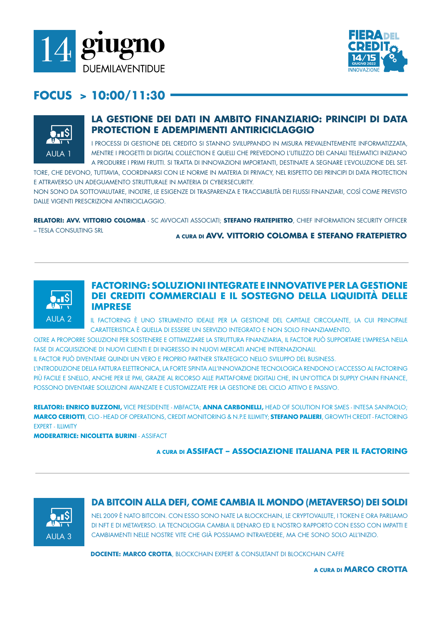



## **FOCUS > 10:00/11:30**



## **LA GESTIONE DEI DATI IN AMBITO FINANZIARIO: PRINCIPI DI DATA PROTECTION E ADEMPIMENTI ANTIRICICLAGGIO**

I PROCESSI DI GESTIONE DEL CREDITO SI STANNO SVILUPPANDO IN MISURA PREVALENTEMENTE INFORMATIZZATA, MENTRE I PROGETTI DI DIGITAL COLLECTION E QUELLI CHE PREVEDONO L'UTILIZZO DEI CANALI TELEMATICI INIZIANO A PRODURRE I PRIMI FRUTTI. SI TRATTA DI INNOVAZIONI IMPORTANTI, DESTINATE A SEGNARE L'EVOLUZIONE DEL SET-

TORE, CHE DEVONO, TUTTAVIA, COORDINARSI CON LE NORME IN MATERIA DI PRIVACY, NEL RISPETTO DEI PRINCIPI DI DATA PROTECTION E ATTRAVERSO UN ADEGUAMENTO STRUTTURALE IN MATERIA DI CYBERSECURITY.

NON SONO DA SOTTOVALUTARE, INOLTRE, LE ESIGENZE DI TRASPARENZA E TRACCIABILITÀ DEI FLUSSI FINANZIARI, COSÌ COME PREVISTO DALLE VIGENTI PRESCRIZIONI ANTIRICICLAGGIO.

**RELATORI: AVV. VITTORIO COLOMBA** - SC AVVOCATI ASSOCIATI; **STEFANO FRATEPIETRO**, CHIEF INFORMATION SECURITY OFFICER

– TESLA CONSULTING SRL

**A CURA DI AVV. VITTORIO COLOMBA E STEFANO FRATEPIETRO**



## **FACTORING: SOLUZIONI INTEGRATE E INNOVATIVE PER LA GESTIONE DEI CREDITI COMMERCIALI E IL SOSTEGNO DELLA LIQUIDITÀ DELLE IMPRESE**

IL FACTORING È UNO STRUMENTO IDEALE PER LA GESTIONE DEL CAPITALE CIRCOLANTE, LA CUI PRINCIPALE CARATTERISTICA È QUELLA DI ESSERE UN SERVIZIO INTEGRATO E NON SOLO FINANZIAMENTO.

OLTRE A PROPORRE SOLUZIONI PER SOSTENERE E OTTIMIZZARE LA STRUTTURA FINANZIARIA, IL FACTOR PUÒ SUPPORTARE L'IMPRESA NELLA FASE DI ACQUISIZIONE DI NUOVI CLIENTI E DI INGRESSO IN NUOVI MERCATI ANCHE INTERNAZIONALI.

IL FACTOR PUÒ DIVENTARE QUINDI UN VERO E PROPRIO PARTNER STRATEGICO NELLO SVILUPPO DEL BUSINESS.

L'INTRODUZIONE DELLA FATTURA ELETTRONICA, LA FORTE SPINTA ALL'INNOVAZIONE TECNOLOGICA RENDONO L'ACCESSO AL FACTORING PIÙ FACILE E SNELLO, ANCHE PER LE PMI, GRAZIE AL RICORSO ALLE PIATTAFORME DIGITALI CHE, IN UN'OTTICA DI SUPPLY CHAIN FINANCE, POSSONO DIVENTARE SOLUZIONI AVANZATE E CUSTOMIZZATE PER LA GESTIONE DEL CICLO ATTIVO E PASSIVO.

**RELATORI: ENRICO BUZZONI,** VICE PRESIDENTE - MBFACTA; **ANNA CARBONELLI,** HEAD OF SOLUTION FOR SMES - INTESA SANPAOLO; **MARCO CERIOTTI**, CLO - HEAD OF OPERATIONS, CREDIT MONITORING & N.P.E ILLIMITY; **STEFANO PALIERI**, GROWTH CREDIT - FACTORING EXPERT - ILLIMITY

**MODERATRICE: NICOLETTA BURINI** - ASSIFACT

### **A CURA DI ASSIFACT – ASSOCIAZIONE ITALIANA PER IL FACTORING**



## **DA BITCOIN ALLA DEFI, COME CAMBIA IL MONDO (METAVERSO) DEI SOLDI**

NEL 2009 È NATO BITCOIN. CON ESSO SONO NATE LA BLOCKCHAIN, LE CRYPTOVALUTE, I TOKEN E ORA PARLIAMO DI NFT E DI METAVERSO. LA TECNOLOGIA CAMBIA IL DENARO ED IL NOSTRO RAPPORTO CON ESSO CON IMPATTI E CAMBIAMENTI NELLE NOSTRE VITE CHE GIÀ POSSIAMO INTRAVEDERE, MA CHE SONO SOLO ALL'INIZIO.

**DOCENTE: MARCO CROTTA**, BLOCKCHAIN EXPERT & CONSULTANT DI BLOCKCHAIN CAFFE

**A CURA DI MARCO CROTTA**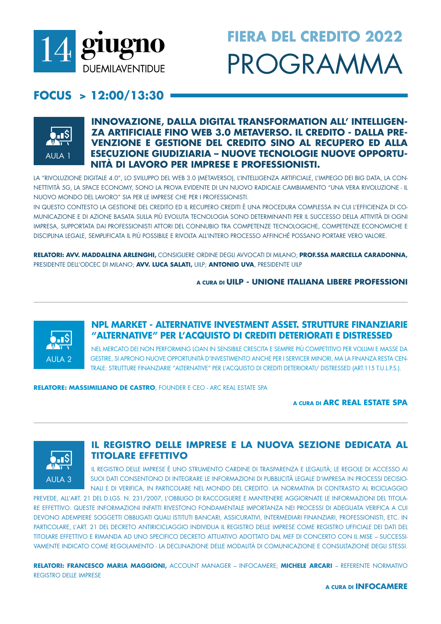

# **FIERA DEL CREDITO 2022** PROGRAMMA

## $FOCUS > 12:00/13:30$



## **INNOVAZIONE, DALLA DIGITAL TRANSFORMATION ALL'INTELLIGEN-**ZA ARTIFICIALE FINO WEB 3.0 METAVERSO. IL CREDITO - DALLA PRE-VENZIONE E GESTIONE DEL CREDITO SINO AL RECUPERO ED ALLA **ESECUZIONE GIUDIZIARIA – NUOVE TECNOLOGIE NUOVE OPPORTU-**NITÀ DI LAVORO PER IMPRESE E PROFESSIONISTI.

LA "RIVOLUZIONE DIGITALE 4.0", LO SVILUPPO DEL WEB 3.0 (METAVERSO), L'INTELLIGENZA ARTIFICIALE, L'IMPIEGO DEI BIG DATA, LA CON-NETTIVITÀ 5G, LA SPACE ECONOMY, SONO LA PROVA EVIDENTE DI UN NUOVO RADICALE CAMBIAMENTO "UNA VERA RIVOLUZIONE - IL NUOVO MONDO DEL LAVORO" SIA PER LE IMPRESE CHE PER I PROFESSIONISTI.

IN QUESTO CONTESTO LA GESTIONE DEL CREDITO ED IL RECUPERO CREDITI È UNA PROCEDURA COMPLESSA IN CUI L'EFFICIENZA DI CO-MUNICAZIONE E DI AZIONE BASATA SULLA PIÙ EVOLUTA TECNOLOGIA SONO DETERMINANTI PER IL SUCCESSO DELLA ATTIVITÀ DI OGNI IMPRESA. SUPPORTATA DAI PROFESSIONISTI ATTORI DEL CONNUBIO TRA COMPETENZE TECNOLOGICHE. COMPETENZE ECONOMICHE E DISCIPLINA LEGALE, SEMPLIFICATA IL PIÙ POSSIBILE E RIVOLTA ALL'INTERO PROCESSO AFFINCHÉ POSSANO PORTARE VERO VALORE.

RELATORI: AVV. MADDALENA ARLENGHI, CONSIGLIERE ORDINE DEGLI AVVOCATI DI MILANO; PROF.SSA MARCELLA CARADONNA, PRESIDENTE DELL'ODCEC DI MILANO; AVV. LUCA SALATI, UILP; ANTONIO UVA, PRESIDENTE UILP

### A CURA DI UILP - UNIONE ITALIANA LIBERE PROFESSIONI



## NPL MARKET - ALTERNATIVE INVESTMENT ASSET. STRUTTURE FINANZIARIE "ALTERNATIVE" PER L'ACQUISTO DI CREDITI DETERIORATI E DISTRESSED

NEL MERCATO DEI NON PERFORMING LOAN IN SENSIBILE CRESCITA E SEMPRE PIÙ COMPETITIVO PER VOLUMI E MASSE DA GESTIRE, SI APRONO NUOVE OPPORTUNITÀ D'INVESTIMENTO ANCHE PER I SERVICER MINORI, MA LA FINANZA RESTA CEN-TRALE: STRUTTURE FINANZIARIE "ALTERNATIVE" PER L'ACQUISTO DI CREDITI DETERIORATI/ DISTRESSED (ART.115 T.U.L.P.S.).

**RELATORE: MASSIMILIANO DE CASTRO**. FOUNDER E CEO - ARC REAL ESTATE SPA

A CURA DI ARC REAL ESTATE SPA



## IL REGISTRO DELLE IMPRESE E LA NUOVA SEZIONE DEDICATA AL **TITOLARE EFFETTIVO**

IL REGISTRO DELLE IMPRESE È UNO STRUMENTO CARDINE DI TRASPARENZA E LEGALITÀ; LE REGOLE DI ACCESSO AI SUOI DATI CONSENTONO DI INTEGRARE LE INFORMAZIONI DI PUBBLICITÀ LEGALE D'IMPRESA IN PROCESSI DECISIO-NALI E DI VERIFICA, IN PARTICOLARE NEL MONDO DEL CREDITO. LA NORMATIVA DI CONTRASTO AL RICICLAGGIO

PREVEDE, ALL'ART. 21 DEL D.LGS. N. 231/2007, L'OBBLIGO DI RACCOGLIERE E MANTENERE AGGIORNATE LE INFORMAZIONI DEL TITOLA-RE EFFETTIVO. QUESTE INFORMAZIONI INFATTI RIVESTONO FONDAMENTALE IMPORTANZA NEI PROCESSI DI ADEGUATA VERIFICA A CUI DEVONO ADEMPIERE SOGGETTI OBBLIGATI QUALI ISTITUTI BANCARI. ASSICURATIVI. INTERMEDIARI FINANZIARI. PROFESSIONISTI. ETC. IN PARTICOLARE, L'ART. 21 DEL DECRETO ANTIRICICLAGGIO INDIVIDUA IL REGISTRO DELLE IMPRESE COME REGISTRO UFFICIALE DEI DATI DEL TITOLARE EFFETTIVO E RIMANDA AD UNO SPECIFICO DECRETO ATTUATIVO ADOTTATO DAL MEF DI CONCERTO CON IL MISE - SUCCESSI-VAMENTE INDICATO COME REGOLAMENTO - LA DECLINAZIONE DELLE MODALITÀ DI COMUNICAZIONE E CONSUITAZIONE DEGLI STESSI

RELATORI: FRANCESCO MARIA MAGGIONI, ACCOUNT MANAGER - INFOCAMERE; MICHELE ARCARI - REFERENTE NORMATIVO REGISTRO DELLE IMPRESE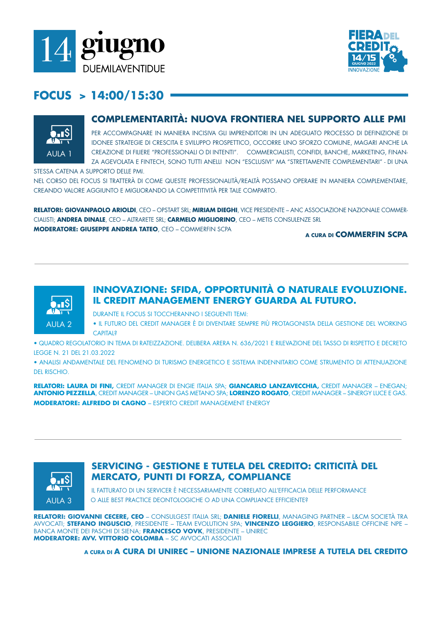



## **FOCUS > 14:00/15:30**



## **COMPLEMENTARITÀ: NUOVA FRONTIERA NEL SUPPORTO ALLE PMI**

PER ACCOMPAGNARE IN MANIERA INCISIVA GLI IMPRENDITORI IN UN ADEGUATO PROCESSO DI DEFINIZIONE DI IDONEE STRATEGIE DI CRESCITA E SVILUPPO PROSPETTICO, OCCORRE UNO SFORZO COMUNE, MAGARI ANCHE LA CREAZIONE DI FILIERE "PROFESSIONALI O DI INTENTI". COMMERCIALISTI, CONFIDI, BANCHE, MARKETING, FINAN-ZA AGEVOLATA E FINTECH, SONO TUTTI ANELLI NON "ESCLUSIVI" MA "STRETTAMENTE COMPLEMENTARI" - DI UNA

STESSA CATENA A SUPPORTO DELLE PMI.

NEL CORSO DEL FOCUS SI TRATTERÀ DI COME QUESTE PROFESSIONALITÀ/REALTÀ POSSANO OPERARE IN MANIERA COMPLEMENTARE, CREANDO VALORE AGGIUNTO E MIGLIORANDO LA COMPETITIVITÀ PER TALE COMPARTO.

**RELATORI: GIOVANPAOLO ARIOLDI**, CEO – OPSTART SRL; **MIRIAM DIEGHI**, VICE PRESIDENTE – ANC ASSOCIAZIONE NAZIONALE COMMER-CIALISTI; **ANDREA DINALE**, CEO – ALTRARETE SRL; **CARMELO MIGLIORINO**, CEO – METIS CONSULENZE SRL **MODERATORE: GIUSEPPE ANDREA TATEO**, CEO – COMMERFIN SCPA

#### **A CURA DI COMMERFIN SCPA**



## **INNOVAZIONE: SFIDA, OPPORTUNITÀ O NATURALE EVOLUZIONE. IL CREDIT MANAGEMENT ENERGY GUARDA AL FUTURO.**

DURANTE IL FOCUS SI TOCCHERANNO I SEGUENTI TEMI:

• IL FUTURO DEL CREDIT MANAGER È DI DIVENTARE SEMPRE PIÙ PROTAGONISTA DELLA GESTIONE DEL WORKING **CAPITAL?** 

• QUADRO REGOLATORIO IN TEMA DI RATEIZZAZIONE. DELIBERA ARERA N. 636/2021 E RILEVAZIONE DEL TASSO DI RISPETTO E DECRETO LEGGE N. 21 DEL 21.03.2022

• ANALISI ANDAMENTALE DEL FENOMENO DI TURISMO ENERGETICO E SISTEMA INDENNITARIO COME STRUMENTO DI ATTENUAZIONE DEL RISCHIO.

**RELATORI: LAURA DI FINI,** CREDIT MANAGER DI ENGIE ITALIA SPA; **GIANCARLO LANZAVECCHIA,** CREDIT MANAGER – ENEGAN; **ANTONIO PEZZELLA**, CREDIT MANAGER – UNION GAS METANO SPA; **LORENZO ROGATO**, CREDIT MANAGER – SINERGY LUCE E GAS. **MODERATORE: ALFREDO DI CAGNO** – ESPERTO CREDIT MANAGEMENT ENERGY



## **SERVICING - GESTIONE E TUTELA DEL CREDITO: CRITICITÀ DEL MERCATO, PUNTI DI FORZA, COMPLIANCE**

IL FATTURATO DI UN SERVICER È NECESSARIAMENTE CORRELATO ALL'EFFICACIA DELLE PERFORMANCE O ALLE BEST PRACTICE DEONTOLOGICHE O AD UNA COMPLIANCE EFFICIENTE?

**RELATORI: GIOVANNI CECERE, CEO** – CONSULGEST ITALIA SRL; **DANIELE FIORELLI**, MANAGING PARTNER – L&CM SOCIETÀ TRA AVVOCATI; **STEFANO INGUSCIO**, PRESIDENTE – TEAM EVOLUTION SPA; **VINCENZO LEGGIERO**, RESPONSABILE OFFICINE NPE – BANCA MONTE DEI PASCHI DI SIENA; **FRANCESCO VOVK**, PRESIDENTE – UNIREC **MODERATORE: AVV. VITTORIO COLOMBA** – SC AVVOCATI ASSOCIATI

**A CURA DI A CURA DI UNIREC – UNIONE NAZIONALE IMPRESE A TUTELA DEL CREDITO**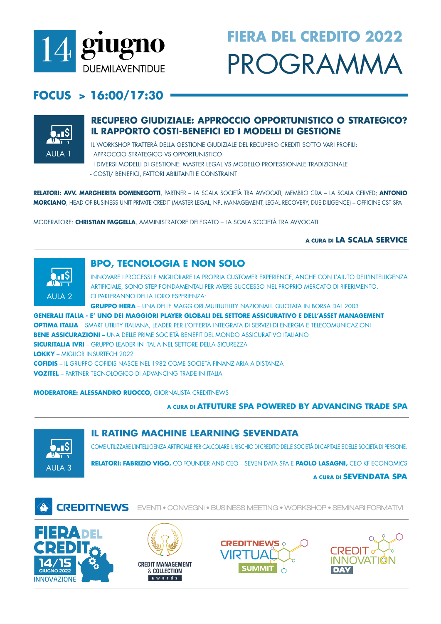

# **FIERA DEL CREDITO 2022** PROGRAMMA

## $FOCUS > 16:00/17:30$



## **RECUPERO GIUDIZIALE: APPROCCIO OPPORTUNISTICO O STRATEGICO?** IL RAPPORTO COSTI-BENEFICI ED I MODELLI DI GESTIONE

IL WORKSHOP TRATTERÀ DELLA GESTIONE GIUDIZIALE DEL RECUPERO CREDITI SOTTO VARI PROFILI: - APPROCCIO STRATEGICO VS OPPORTUNISTICO

- I DIVERSI MODELLI DI GESTIONE: MASTER LEGAL VS MODELLO PROFESSIONALE TRADIZIONALE - COSTI/ BENEFICI, FATTORI ABILITANTI E CONSTRAINT

RELATORI: AVV. MARGHERITA DOMENEGOTTI, PARTNER - LA SCALA SOCIETÀ TRA AVVOCATI, MEMBRO CDA - LA SCALA CERVED; ANTONIO MORCIANO, HEAD OF BUSINESS UNIT PRIVATE CREDIT (MASTER LEGAL, NPL MANAGEMENT, LEGAL RECOVERY, DUE DILIGENCE) - OFFICINE CST SPA

MODERATORE: CHRISTIAN FAGGELLA, AMMINISTRATORE DELEGATO - LA SCALA SOCIETÀ TRA AVVOCATI

### A CURA DI LA SCALA SERVICE



## **BPO, TECNOLOGIA E NON SOLO**

INNOVARE I PROCESSI E MIGLIORARE LA PROPRIA CUSTOMER EXPERIENCE. ANCHE CON L'AIUTO DELL'INTELLIGENZA ARTIFICIALE, SONO STEP FONDAMENTALI PER AVERE SUCCESSO NEL PROPRIO MERCATO DI RIFERIMENTO. CI PARIFRANNO DEILA LORO ESPERIENZA·

**GRUPPO HERA** – UNA DELLE MAGGIORI MULTIUTILITY NAZIONALI. QUOTATA IN BORSA DAL 2003

**GENERALI ITALIA - E' UNO DEI MAGGIORI PLAYER GLOBALI DEL SETTORE ASSICURATIVO E DELL'ASSET MANAGEMENT OPTIMA ITALIA** – SMART UTIHTY ITAHANA I FADER PER L'OFFERTA INTEGRATA DI SERVIZI DI ENERGIA E TELECOMUNICAZIONI **BENE ASSICURAZIONI –** UNA DELLE PRIME SOCIETÀ BENEFIT DEL MONDO ASSICURATIVO ITALIANO **SICURITALIA IVRI** - GRUPPO LEADER IN ITALIA NEL SETTORE DELLA SICUREZZA

**LOKKY** - MIGHOR INSURTECH 2022

**COFIDIS** – IL GRUPPO COFIDIS NASCE NEL 1982 COME SOCIETÀ FINANZIARIA A DISTANZA **VOZITEL** - PARTNER TECNOLOGICO DI ADVANCING TRADE IN ITALIA

**MODERATORE: ALESSANDRO RUOCCO, GIORNALISTA CREDITNEWS** 

### A CURA DI ATFUTURE SPA POWERED BY ADVANCING TRADE SPA



**IL RATING MACHINE LEARNING SEVENDATA** 

COME UTILIZZARE L'INTELLIGENZA ARTIFICIALE PER CALCOLARE IL RISCHIO DI CREDITO DELLE SOCIETÀ DI CAPITALE E DELLE SOCIETÀ DI PERSONE.

RELATORI: FABRIZIO VIGO, CO-FOUNDER AND CEO - SEVEN DATA SPA E PAOLO LASAGNI, CEO KF ECONOMICS

### A CURA DI **SEVENDATA SPA**



**CREDITNEWS** EVENTI . CONVEGNI . BUSINESS MEETING . WORKSHOP . SEMINARI FORMATIVI







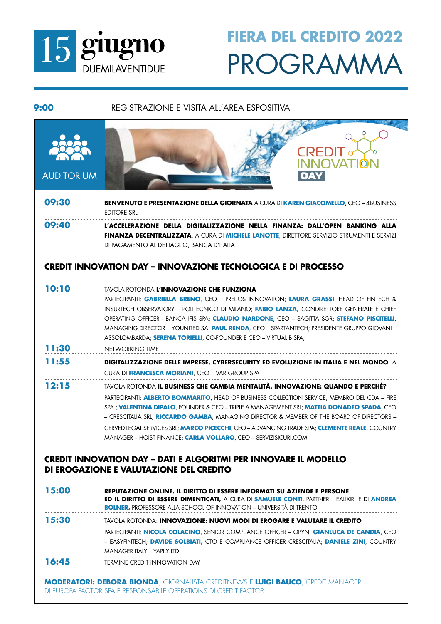

# PROGRAMMA **FIERA DEL CREDITO 2022**

### **9:00** REGISTRAZIONE E VISITA ALL'AREA ESPOSITIVA



**16:45 TERMINE CREDIT INNOVATION DAY** 

**MODERATORI: DEBORA BIONDA**, GIORNALISTA CREDITNEWS E **LUIGI BAUCO**, CREDIT MANAGER DI EUROPA FACTOR SPA E RESPONSABILE OPERATIONS DI CREDIT FACTOR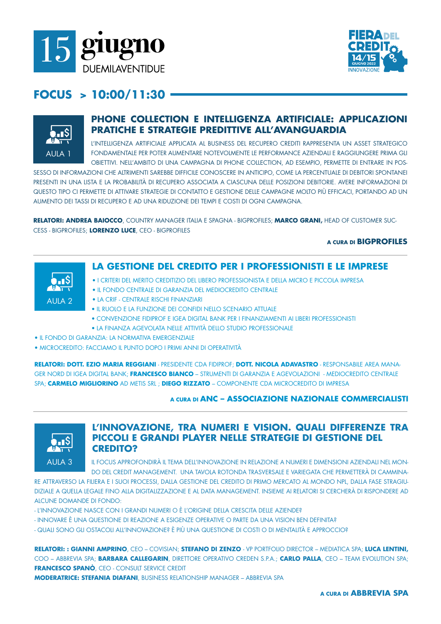



## **FOCUS > 10:00/11:30**



## **PHONE COLLECTION E INTELLIGENZA ARTIFICIALE: APPLICAZIONI PRATICHE E STRATEGIE PREDITTIVE ALL'AVANGUARDIA**

L'INTELLIGENZA ARTIFICIALE APPLICATA AL BUSINESS DEL RECUPERO CREDITI RAPPRESENTA UN ASSET STRATEGICO FONDAMENTALE PER POTER AUMENTARE NOTEVOLMENTE LE PERFORMANCE AZIENDALI E RAGGIUNGERE PRIMA GLI OBIETTIVI. NELL'AMBITO DI UNA CAMPAGNA DI PHONE COLLECTION, AD ESEMPIO, PERMETTE DI ENTRARE IN POS-

SESSO DI INFORMAZIONI CHE ALTRIMENTI SAREBBE DIFFICILE CONOSCERE IN ANTICIPO, COME LA PERCENTUALE DI DEBITORI SPONTANEI PRESENTI IN UNA LISTA E LA PROBABILITÀ DI RECUPERO ASSOCIATA A CIASCUNA DELLE POSIZIONI DEBITORIE. AVERE INFORMAZIONI DI QUESTO TIPO CI PERMETTE DI ATTIVARE STRATEGIE DI CONTATTO E GESTIONE DELLE CAMPAGNE MOLTO PIÙ EFFICACI, PORTANDO AD UN AUMENTO DEI TASSI DI RECUPERO E AD UNA RIDUZIONE DEI TEMPI E COSTI DI OGNI CAMPAGNA.

**RELATORI: ANDREA BAIOCCO**, COUNTRY MANAGER ITALIA E SPAGNA - BIGPROFILES; **MARCO GRANI,** HEAD OF CUSTOMER SUC-CESS - BIGPROFILES; **LORENZO LUCE**, CEO - BIGPROFILES

#### **A CURA DI BIGPROFILES**



## **LA GESTIONE DEL CREDITO PER I PROFESSIONISTI E LE IMPRESE**

- I CRITERI DEL MERITO CREDITIZIO DEL LIBERO PROFESSIONISTA E DELLA MICRO E PICCOLA IMPRESA
- IL FONDO CENTRALE DI GARANZIA DEL MEDIOCREDITO CENTRALE
- LA CRIF CENTRALE RISCHI FINANZIARI
- IL RUOLO E LA FUNZIONE DEI CONFIDI NELLO SCENARIO ATTUALE
- CONVENZIONE FIDIPROF E IGEA DIGITAL BANK PER I FINANZIAMENTI AI LIBERI PROFESSIONISTI
- LA FINANZA AGEVOLATA NELLE ATTIVITÀ DELLO STUDIO PROFESSIONALE
- IL FONDO DI GARANZIA: LA NORMATIVA EMERGENZIALE
- MICROCREDITO: FACCIAMO IL PUNTO DOPO I PRIMI ANNI DI OPERATIVITÀ

**RELATORI: DOTT. EZIO MARIA REGGIANI** - PRESIDENTE CDA FIDIPROF; **DOTT. NICOLA ADAVASTRO** - RESPONSABILE AREA MANA-GER NORD DI IGEA DIGITAL BANK; **FRANCESCO BIANCO** – STRUMENTI DI GARANZIA E AGEVOLAZIONI - MEDIOCREDITO CENTRALE SPA; **CARMELO MIGLIORINO** AD METIS SRL ; **DIEGO RIZZATO** – COMPONENTE CDA MICROCREDITO DI IMPRESA

### **A CURA DI ANC – ASSOCIAZIONE NAZIONALE COMMERCIALISTI**



## **L'INNOVAZIONE, TRA NUMERI E VISION. QUALI DIFFERENZE TRA PICCOLI E GRANDI PLAYER NELLE STRATEGIE DI GESTIONE DEL CREDITO?**

IL FOCUS APPROFONDIRÀ IL TEMA DELL'INNOVAZIONE IN RELAZIONE A NUMERI E DIMENSIONI AZIENDALI NEL MON-DO DEL CREDIT MANAGEMENT. UNA TAVOLA ROTONDA TRASVERSALE E VARIEGATA CHE PERMETTERÀ DI CAMMINA-

RE ATTRAVERSO LA FILIERA E I SUOI PROCESSI, DALLA GESTIONE DEL CREDITO DI PRIMO MERCATO AL MONDO NPL, DALLA FASE STRAGIU-DIZIALE A QUELLA LEGALE FINO ALLA DIGITALIZZAZIONE E AL DATA MANAGEMENT. INSIEME AI RELATORI SI CERCHERÀ DI RISPONDERE AD ALCUNE DOMANDE DI FONDO:

- L'INNOVAZIONE NASCE CON I GRANDI NUMERI O È L'ORIGINE DELLA CRESCITA DELLE AZIENDE?
- INNOVARE È UNA QUESTIONE DI REAZIONE A ESIGENZE OPERATIVE O PARTE DA UNA VISION BEN DEFINITA?
- QUALI SONO GLI OSTACOLI ALL'INNOVAZIONE? È PIÙ UNA QUESTIONE DI COSTI O DI MENTALITÀ E APPROCCIO?

**RELATORI: : GIANNI AMPRINO**, CEO – COVISIAN; **STEFANO DI ZENZO** - VP PORTFOLIO DIRECTOR – MEDIATICA SPA; **LUCA LENTINI,** COO – ABBREVIA SPA; **BARBARA CALLEGARIN**, DIRETTORE OPERATIVO CREDEN S.P.A.; **CARLO PALLA**, CEO – TEAM EVOLUTION SPA; **FRANCESCO SPANÒ**, CEO - CONSULT SERVICE CREDIT

**MODERATRICE: STEFANIA DIAFANI**, BUSINESS RELATIONSHIP MANAGER – ABBREVIA SPA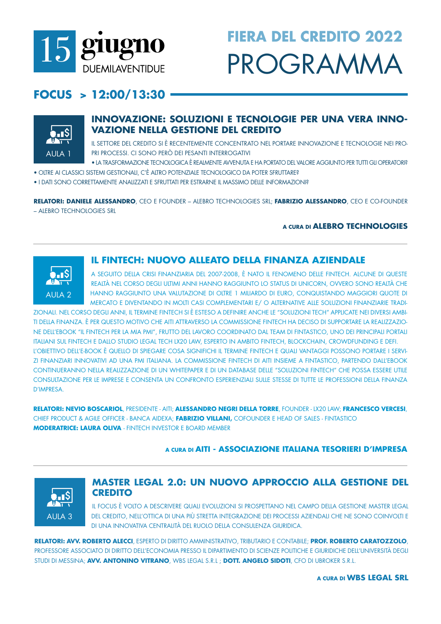

# **FIERA DEL CREDITO 2022** PROGRAMMA

## FOCUS >  $12:00/13:30$



## **INNOVAZIONE: SOLUZIONI E TECNOLOGIE PER UNA VERA INNO-VAZIONE NELLA GESTIONE DEL CREDITO**

IL SETTORE DEL CREDITO SI È RECENTEMENTE CONCENTRATO NEL PORTARE INNOVAZIONE E TECNOLOGIE NEI PRO-PRI PROCESSI. CI SONO PERÒ DEI PESANTI INTERROGATIVI

- LA TRASFORMAZIONE TECNOLOGICA È REALMENTE AVVENUTA E HA PORTATO DEL VALORE AGGIUNTO PER TUTTI GLI OPERATORI?
- · OLTRE AI CLASSICI SISTEMI GESTIONALI, C'È ALTRO POTENZIALE TECNOLOGICO DA POTER SFRUTTARE?
- . I DATI SONO CORRETTAMENTE ANALIZZATI E SFRUTTATI PER ESTRARNE IL MASSIMO DELLE INFORMAZIONI?

RELATORI: DANIELE ALESSANDRO, CEO E FOUNDER - ALEBRO TECHNOLOGIES SRL; FABRIZIO ALESSANDRO, CEO E CO-FOUNDER - ALEBRO TECHNOLOGIES SRL

### A CURA DI ALEBRO TECHNOLOGIES



## **IL FINTECH: NUOVO ALLEATO DELLA FINANZA AZIENDALE**

A SEGUITO DELLA CRISI FINANZIARIA DEL 2007-2008, È NATO IL FENOMENO DELLE FINTECH. ALCUNE DI QUESTE REAITÀ NEL CORSO DEGILIJITIMI ANNI HANNO RAGGIUNTO IO STATUS DI UNICORNI OVVERO SONO REAITÀ CHE HANNO RAGGIUNTO UNA VALUTAZIONE DI OLTRE 1 MILIARDO DI EURO, CONQUISTANDO MAGGIORI QUOTE DI MERCATO E DIVENTANDO IN MOLTI CASI COMPLEMENTARI E/ O ALTERNATIVE ALLE SOLUZIONI FINANZIARIE TRADI-

ZIONALI. NEL CORSO DEGLI ANNI. IL TERMINE FINTECH SI È ESTESO A DEFINIRE ANCHE LE "SOLUZIONI TECH" APPLICATE NEI DIVERSI AMBI-TI DELLA FINANZA. È PER QUESTO MOTIVO CHE AITI ATTRAVERSO LA COMMISSIONE FINTECH HA DECISO DI SUPPORTARE LA REALIZZAZIO-NE DELL'EBOOK "IL FINTECH PER LA MIA PMI", FRUTTO DEL LAVORO COORDINATO DAL TEAM DI FINTASTICO, UNO DEI PRINCIPALI PORTALI ITALIANI SUL FINTECH E DALLO STUDIO LEGAL TECH LX20 LAW. ESPERTO IN AMBITO FINTECH. BLOCKCHAIN. CROWDFUNDING E DEFI. L'OBIETTIVO DELL'E-BOOK È QUELLO DI SPIEGARE COSA SIGNIFICHI IL TERMINE FINTECH E QUALI VANTAGGI POSSONO PORTARE I SERVI-ZI FINANZIARI INNOVATIVI AD UNA PMI ITALIANA. LA COMMISSIONE FINTECH DI AITI INSIEME A FINTASTICO, PARTENDO DALL'EBOOK CONTINUERANNO NELLA REALIZZAZIONE DI UN WHITEPAPER E DI UN DATABASE DELLE "SOLUZIONI FINTECH" CHE POSSA ESSERE UTILE CONSULTAZIONE PER LE IMPRESE E CONSENTA UN CONFRONTO ESPERIENZIALI SULLE STESSE DI TUTTE LE PROFESSIONI DELLA FINANZA **D'IMPRESA.** 

RELATORI: NEVIO BOSCARIOL, PRESIDENTE - AITI; ALESSANDRO NEGRI DELLA TORRE, FOUNDER - LX20 LAW; FRANCESCO VERCESI, CHIEF PRODUCT & AGILE OFFICER - BANCA AIDEXA: FABRIZIO VILLANI, COFOUNDER E HEAD OF SALES - FINTASTICO **MODERATRICE: LAURA OLIVA - FINTECH INVESTOR E BOARD MEMBER** 

### A CURA DI AITI - ASSOCIAZIONE ITALIANA TESORIERI D'IMPRESA



## **MASTER LEGAL 2.0: UN NUOVO APPROCCIO ALLA GESTIONE DEL CREDITO**

IL FOCUS È VOLTO A DESCRIVERE QUALI EVOLUZIONI SI PROSPETTANO NEL CAMPO DELLA GESTIONE MASTER LEGAL DEL CREDITO. NELL'OTTICA DI UNA PIÙ STRETTA INTEGRAZIONE DEI PROCESSI AZIENDALI CHE NE SONO COINVOLTI E DI UNA INNOVATIVA CENTRALITÀ DEL RUOLO DELLA CONSULENZA GIURIDICA.

RELATORI: AVV. ROBERTO ALECCI ESPERTO DI DIRITTO AMMINISTRATIVO TRIBUTARIO E CONTABILE: PROF. ROBERTO CARATOZZOLO PROFESSORE ASSOCIATO DI DIRITTO DELL'ECONOMIA PRESSO IL DIPARTIMENTO DI SCIENZE POLITICHE E GIURIDICHE DELL'UNIVERSITÀ DEGLI STUDI DI MESSINA; AVV. ANTONINO VITRANO, WBS LEGAL S.R.L ; DOTT. ANGELO SIDOTI, CFO DI UBROKER S.R.L.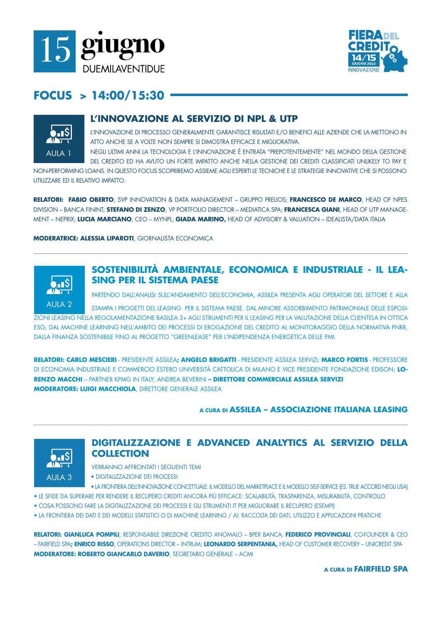



## FOCUS > 14:00/15:30



## L'INNOVAZIONE AL SERVIZIO DI NPL & UTP

L'INNOVAZIONE DI PROCESSO GENERALMENTE GARANTISCE RISULTATI E/O BENEFICI ALLE AZIENDE CHE LA METTONO IN ATTO ANCHE SE A VOLTE NON SEMPRE SI DIMOSTRA EFFICACE E MIGLIORATIVA.

NEGLI ULTIMI ANNI LA TECNOLOGIA E L'INNOVAZIONE È ENTRATA "PREPOTENTEMENTE" NEL MONDO DELLA GESTIONE DEL CREDITO ED HA AVUTO UN FORTE IMPATTO ANCHE NEILA GESTIONE DEI CREDITI CLASSIFICATI UNIJKEIY TO PAY F

NON-PERFORMING LOANS. IN QUESTO FOCUS SCOPRIREMO ASSIEME AGLI ESPERTI LE TECNICHE E LE STRATEGIE INNOVATIVE CHE SI POSSONO LITILIZZARE ED IL RELATIVO IMPATTO

**RELATORI: FABIO OBERTO**, SVP INNOVATION & DATA MANAGEMENT - GRUPPO PRELIOS: FRANCESCO DE MARCO, HEAD OF NPES DIVISION - BANCA FININT; STEFANO DI ZENZO, VP PORTFOLIO DIRECTOR - MEDIATICA SPA; FRANCESCA GIANI, HEAD OF UTP MANAGE-MENT – NEPRIX: LUCIA MARCIANO, CEO – MYNPL: GIADA MARINO, HEAD OF ADVISORY & VALUATION – IDEALISTA/DATA ITALIA

**MODERATRICE: ALESSIA LIPAROTI, GIORNALISTA ECONOMICA** 



## SOSTENIBILITÀ AMBIENTALE, ECONOMICA E INDUSTRIALE - IL LEA-**SING PER IL SISTEMA PAESE**

PARTENDO DALL'ANALISI SULL'ANDAMENTO DELL'ECONOMIA, ASSILEA PRESENTA AGLI OPERATORI DEL SETTORE E ALLA

STAMPA I PROGETTI DEL LEASING PER IL SISTEMA PAESE. DAL MINORE ASSORBIMENTO PATRIMONIALE DELLE ESPOSI-ZIONI LEASING NELLA REGOLAMENTAZIONE BASILEA 3+ AGLI STRUMENTI PER IL LEASING PER LA VALUTAZIONE DELLA CLIENTELA IN OTTICA ESG: DAL MACHINE LEARNING NELL'AMBITO DEI PROCESSI DI EROGAZIONE DEL CREDITO AL MONITORAGGIO DELLA NORMATIVA PNRR. DALLA FINANZA SOSTENIBILE FINO AL PROGETTO "GREENLEASE" PER L'INDIPENDENZA ENERGETICA DELLE PMI.

RELATORI: CARLO MESCIERI - PRESIDENTE ASSILEA; ANGELO BRIGATTI - PRESIDENTE ASSILEA SERVIZI; MARCO FORTIS - PROFESSORE DI ECONOMIA INDUSTRIALE E COMMERCIO ESTERO UNIVERSITÀ CATTOLICA DI MILANO E VICE PRESIDENTE FONDAZIONE EDISON; LO-RENZO MACCHI - PARTNER KPMG IN ITALY: ANDREA BEVERINI - DIRETTORE COMMERCIALE ASSILEA SERVIZI **MODERATORE: LUIGI MACCHIOLA, DIRETTORE GENERALE ASSILEA** 

### A CURA DI ASSILEA - ASSOCIAZIONE ITALIANA LEASING



### DIGITALIZZAZIONE E ADVANCED ANALYTICS AL SERVIZIO DELLA **COLLECTION**

- VERRANNO AFFRONTATI I SEGUENTI TEMI
- DIGITALIZZAZIONE DEI PROCESSI
- · LA FRONTIERA DELL'INNOVAZIONE CONCETTUALE: IL MODELLO DEL MARKETPLACE E IL MODELLO SELF-SERVICE (ES. TRUE ACCORD NEGLI USA)
- · LE SFIDE DA SUPERARE PER RENDERE IL RECUPERO CREDITI ANCORA PIÙ EFFICACE: SCALABILITÀ, TRASPARENZA, MISURABILITÀ, CONTROLLO
- . COSA POSSONO FARE LA DIGITALIZZAZIONE DEI PROCESSI E GLI STRUMENTI IT PER MIGLIORARE IL RECUPERO (ESEMPI)
- · LA FRONTIERA DEI DATI E DEI MODELLI STATISTICI O DI MACHINE LEARNING / AI: RACCOLTA DEI DATI, UTILIZZO E APPLICAZIONI PRATICHE

RELATORI: GIANLUCA POMPILI. RESPONSABILE DIREZIONE CREDITO ANOMALO – BPER BANCA: FEDERICO PROVINCIALI. CO-FOUNDER & CEO - FAIRFIELD SPA**; ENRICO RISSO**, OPERATIONS DIRECTOR - INTRUM; LEONARDO SERPENTANIA, HEAD OF CUSTOMER RECOVERY - UNICREDIT SPA **MODERATORE: ROBERTO GIANCARLO DAVERIO, SEGRETARIO GENERALE - ACMI** 

A CURA DI **FAIRFIELD SPA**